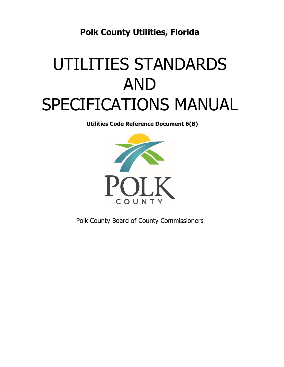**Polk County Utilities, Florida** 

# UTILITIES STANDARDS AND SPECIFICATIONS MANUAL

**Utilities Code Reference Document 6(B)** 



Polk County Board of County Commissioners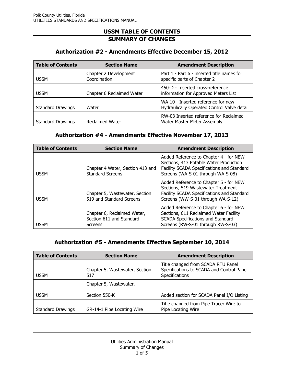## **Authorization #2 - Amendments Effective December 15, 2012**

| <b>Table of Contents</b> | <b>Section Name</b>                   | <b>Amendment Description</b>                                                      |
|--------------------------|---------------------------------------|-----------------------------------------------------------------------------------|
| <b>USSM</b>              | Chapter 2 Development<br>Coordination | Part 1 - Part 6 - inserted title names for<br>specific parts of Chapter 2         |
| <b>USSM</b>              | Chapter 6 Reclaimed Water             | 450-D - Inserted cross-reference<br>information for Approved Meters List          |
| <b>Standard Drawings</b> | Water                                 | WA-10 - Inserted reference for new<br>Hydraulically Operated Control Valve detail |
| <b>Standard Drawings</b> | <b>Reclaimed Water</b>                | RW-03 Inserted reference for Reclaimed<br>Water Master Meter Assembly             |

#### **Authorization #4 - Amendments Effective November 17, 2013**

| <b>Table of Contents</b> | <b>Section Name</b>                                                | <b>Amendment Description</b>                                                                                                                                        |
|--------------------------|--------------------------------------------------------------------|---------------------------------------------------------------------------------------------------------------------------------------------------------------------|
| <b>USSM</b>              | Chapter 4 Water, Section 413 and<br><b>Standard Screens</b>        | Added Reference to Chapter 4 - for NEW<br>Sections, 413 Potable Water Production<br>Facility SCADA Specifications and Standard<br>Screens (WA-S-01 through WA-S-08) |
| <b>USSM</b>              | Chapter 5, Wastewater, Section<br>519 and Standard Screens         | Added Reference to Chapter 5 - for NEW<br>Sections, 519 Wastewater Treatment<br>Facility SCADA Specifications and Standard<br>Screens (WW-S-01 through WA-S-12)     |
| <b>USSM</b>              | Chapter 6, Reclaimed Water,<br>Section 611 and Standard<br>Screens | Added Reference to Chapter 6 - for NEW<br>Sections, 611 Reclaimed Water Facility<br>SCADA Specifications and Standard<br>Screens (RW-S-01 through RW-S-03)          |

## **Authorization #5 - Amendments Effective September 10, 2014**

| <b>Table of Contents</b> | <b>Section Name</b>                   | <b>Amendment Description</b>                                                                      |
|--------------------------|---------------------------------------|---------------------------------------------------------------------------------------------------|
| <b>USSM</b>              | Chapter 5, Wastewater, Section<br>517 | Title changed from SCADA RTU Panel<br>Specifications to SCADA and Control Panel<br>Specifications |
|                          | Chapter 5, Wastewater,                |                                                                                                   |
| <b>USSM</b>              | Section 550-K                         | Added section for SCADA Panel I/O Listing                                                         |
| <b>Standard Drawings</b> | GR-14-1 Pipe Locating Wire            | Title changed from Pipe Tracer Wire to<br>Pipe Locating Wire                                      |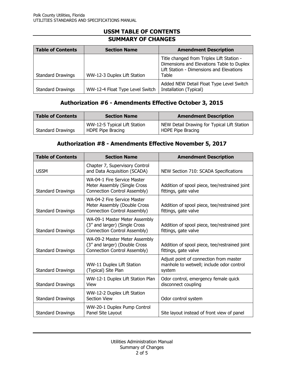| <b>Table of Contents</b> | <b>Section Name</b>             | <b>Amendment Description</b>                                                                                                                |
|--------------------------|---------------------------------|---------------------------------------------------------------------------------------------------------------------------------------------|
| <b>Standard Drawings</b> | WW-12-3 Duplex Lift Station     | Title changed from Triplex Lift Station -<br>Dimensions and Elevations Table to Duplex<br>Lift Station - Dimensions and Elevations<br>Table |
| <b>Standard Drawings</b> | WW-12-4 Float Type Level Switch | Added NEW Detail Float Type Level Switch<br>Installation (Typical)                                                                          |

# **Authorization #6 - Amendments Effective October 3, 2015**

| <b>Table of Contents</b> | <b>Section Name</b>                               | <b>Amendment Description</b>                                     |
|--------------------------|---------------------------------------------------|------------------------------------------------------------------|
| <b>Standard Drawings</b> | WW-12-5 Typical Lift Station<br>HDPE Pipe Bracing | NEW Detail Drawing for Typical Lift Station<br>HDPE Pipe Bracing |

## **Authorization #8 - Amendments Effective November 5, 2017**

| <b>Table of Contents</b> | <b>Section Name</b>                                                                            | <b>Amendment Description</b>                                                                 |
|--------------------------|------------------------------------------------------------------------------------------------|----------------------------------------------------------------------------------------------|
| <b>USSM</b>              | Chapter 7, Supervisory Control<br>and Data Acquisition (SCADA)                                 | NEW Section 710: SCADA Specifications                                                        |
| <b>Standard Drawings</b> | WA-04-1 Fire Service Master<br>Meter Assembly (Single Cross<br>Connection Control Assembly)    | Addition of spool piece, tee/restrained joint<br>fittings, gate valve                        |
| <b>Standard Drawings</b> | WA-04-2 Fire Service Master<br>Meter Assembly (Double Cross<br>Connection Control Assembly)    | Addition of spool piece, tee/restrained joint<br>fittings, gate valve                        |
| <b>Standard Drawings</b> | WA-09-1 Master Meter Assembly<br>(3" and larger) (Single Cross<br>Connection Control Assembly) | Addition of spool piece, tee/restrained joint<br>fittings, gate valve                        |
| <b>Standard Drawings</b> | WA-09-2 Master Meter Assembly<br>(3" and larger) (Double Cross<br>Connection Control Assembly) | Addition of spool piece, tee/restrained joint<br>fittings, gate valve                        |
| <b>Standard Drawings</b> | WW-11 Duplex Lift Station<br>(Typical) Site Plan                                               | Adjust point of connection from master<br>manhole to wetwell; include odor control<br>system |
| <b>Standard Drawings</b> | WW-12-1 Duplex Lift Station Plan<br>View                                                       | Odor control, emergency female quick<br>disconnect coupling                                  |
| <b>Standard Drawings</b> | WW-12-2 Duplex Lift Station<br><b>Section View</b>                                             | Odor control system                                                                          |
| <b>Standard Drawings</b> | WW-20-1 Duplex Pump Control<br>Panel Site Layout                                               | Site layout instead of front view of panel                                                   |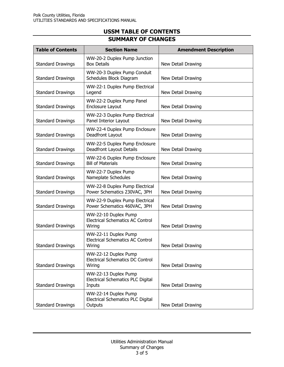| <b>Table of Contents</b> | <b>Section Name</b>                                                       | <b>Amendment Description</b> |
|--------------------------|---------------------------------------------------------------------------|------------------------------|
| <b>Standard Drawings</b> | WW-20-2 Duplex Pump Junction<br><b>Box Details</b>                        | New Detail Drawing           |
| <b>Standard Drawings</b> | WW-20-3 Duplex Pump Conduit<br>Schedules Block Diagram                    | New Detail Drawing           |
| <b>Standard Drawings</b> | WW-22-1 Duplex Pump Electrical<br>Legend                                  | New Detail Drawing           |
| <b>Standard Drawings</b> | WW-22-2 Duplex Pump Panel<br>Enclosure Layout                             | New Detail Drawing           |
| <b>Standard Drawings</b> | WW-22-3 Duplex Pump Electrical<br>Panel Interior Layout                   | New Detail Drawing           |
| <b>Standard Drawings</b> | WW-22-4 Duplex Pump Enclosure<br>Deadfront Layout                         | New Detail Drawing           |
| <b>Standard Drawings</b> | WW-22-5 Duplex Pump Enclosure<br>Deadfront Layout Details                 | New Detail Drawing           |
| <b>Standard Drawings</b> | WW-22-6 Duplex Pump Enclosure<br><b>Bill of Materials</b>                 | New Detail Drawing           |
| <b>Standard Drawings</b> | WW-22-7 Duplex Pump<br>Nameplate Schedules                                | New Detail Drawing           |
| <b>Standard Drawings</b> | WW-22-8 Duplex Pump Electrical<br>Power Schematics 230VAC, 3PH            | New Detail Drawing           |
| <b>Standard Drawings</b> | WW-22-9 Duplex Pump Electrical<br>Power Schematics 460VAC, 3PH            | New Detail Drawing           |
| <b>Standard Drawings</b> | WW-22-10 Duplex Pump<br><b>Electrical Schematics AC Control</b><br>Wiring | New Detail Drawing           |
| <b>Standard Drawings</b> | WW-22-11 Duplex Pump<br><b>Electrical Schematics AC Control</b><br>Wiring | New Detail Drawing           |
| <b>Standard Drawings</b> | WW-22-12 Duplex Pump<br><b>Electrical Schematics DC Control</b><br>Wiring | New Detail Drawing           |
| <b>Standard Drawings</b> | WW-22-13 Duplex Pump<br>Electrical Schematics PLC Digital<br>Inputs       | New Detail Drawing           |
| <b>Standard Drawings</b> | WW-22-14 Duplex Pump<br>Electrical Schematics PLC Digital<br>Outputs      | New Detail Drawing           |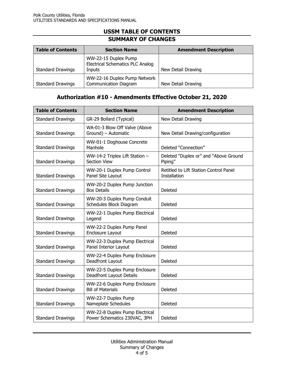| <b>Table of Contents</b> | <b>Section Name</b>                                                       | <b>Amendment Description</b> |
|--------------------------|---------------------------------------------------------------------------|------------------------------|
| <b>Standard Drawings</b> | WW-22-15 Duplex Pump<br><b>Electrical Schematics PLC Analog</b><br>Inputs | New Detail Drawing           |
| <b>Standard Drawings</b> | WW-22-16 Duplex Pump Network<br><b>Communication Diagram</b>              | New Detail Drawing           |

## **Authorization #10 - Amendments Effective October 21, 2020**

| <b>Table of Contents</b> | <b>Section Name</b>                                              | <b>Amendment Description</b>                                  |
|--------------------------|------------------------------------------------------------------|---------------------------------------------------------------|
| <b>Standard Drawings</b> | GR-29 Bollard (Typical)                                          | New Detail Drawing                                            |
| <b>Standard Drawings</b> | WA-01-3 Blow Off Valve (Above<br>Ground) - Automatic             | New Detail Drawing/configuration                              |
| <b>Standard Drawings</b> | WW-01-1 Doghouse Concrete<br>Manhole                             | Deleted "Connection"                                          |
| <b>Standard Drawings</b> | WW-14-2 Triplex Lift Station -<br><b>Section View</b>            | Deleted "Duplex or" and "Above Ground<br>Piping"              |
| <b>Standard Drawings</b> | WW-20-1 Duplex Pump Control<br>Panel Site Layout                 | Retitled to Lift Station Control Panel<br><b>Installation</b> |
| <b>Standard Drawings</b> | WW-20-2 Duplex Pump Junction<br><b>Box Details</b>               | Deleted                                                       |
| <b>Standard Drawings</b> | WW-20-3 Duplex Pump Conduit<br>Schedules Block Diagram           | Deleted                                                       |
| <b>Standard Drawings</b> | WW-22-1 Duplex Pump Electrical<br>Legend                         | Deleted                                                       |
| <b>Standard Drawings</b> | WW-22-2 Duplex Pump Panel<br><b>Enclosure Layout</b>             | Deleted                                                       |
| <b>Standard Drawings</b> | WW-22-3 Duplex Pump Electrical<br>Panel Interior Layout          | Deleted                                                       |
| <b>Standard Drawings</b> | WW-22-4 Duplex Pump Enclosure<br>Deadfront Layout                | Deleted                                                       |
| <b>Standard Drawings</b> | WW-22-5 Duplex Pump Enclosure<br><b>Deadfront Layout Details</b> | Deleted                                                       |
| <b>Standard Drawings</b> | WW-22-6 Duplex Pump Enclosure<br><b>Bill of Materials</b>        | Deleted                                                       |
| <b>Standard Drawings</b> | WW-22-7 Duplex Pump<br>Nameplate Schedules                       | Deleted                                                       |
| <b>Standard Drawings</b> | WW-22-8 Duplex Pump Electrical<br>Power Schematics 230VAC, 3PH   | Deleted                                                       |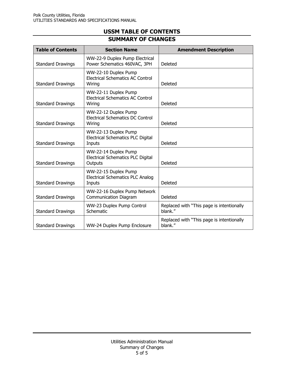| <b>Table of Contents</b> | <b>Section Name</b>                                                       | <b>Amendment Description</b>                         |
|--------------------------|---------------------------------------------------------------------------|------------------------------------------------------|
| <b>Standard Drawings</b> | WW-22-9 Duplex Pump Electrical<br>Power Schematics 460VAC, 3PH            | Deleted                                              |
| <b>Standard Drawings</b> | WW-22-10 Duplex Pump<br><b>Electrical Schematics AC Control</b><br>Wiring | Deleted                                              |
| <b>Standard Drawings</b> | WW-22-11 Duplex Pump<br><b>Electrical Schematics AC Control</b><br>Wiring | Deleted                                              |
| <b>Standard Drawings</b> | WW-22-12 Duplex Pump<br>Electrical Schematics DC Control<br>Wiring        | Deleted                                              |
| <b>Standard Drawings</b> | WW-22-13 Duplex Pump<br>Electrical Schematics PLC Digital<br>Inputs       | Deleted                                              |
| <b>Standard Drawings</b> | WW-22-14 Duplex Pump<br>Electrical Schematics PLC Digital<br>Outputs      | Deleted                                              |
| <b>Standard Drawings</b> | WW-22-15 Duplex Pump<br><b>Electrical Schematics PLC Analog</b><br>Inputs | Deleted                                              |
| <b>Standard Drawings</b> | WW-22-16 Duplex Pump Network<br><b>Communication Diagram</b>              | Deleted                                              |
| <b>Standard Drawings</b> | WW-23 Duplex Pump Control<br>Schematic                                    | Replaced with "This page is intentionally<br>blank." |
| <b>Standard Drawings</b> | WW-24 Duplex Pump Enclosure                                               | Replaced with "This page is intentionally<br>blank." |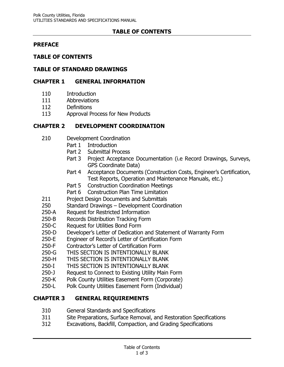## **TABLE OF CONTENTS**

## **PREFACE**

### **TABLE OF CONTENTS**

#### **TABLE OF STANDARD DRAWINGS**

#### **CHAPTER 1 GENERAL INFORMATION**

- 110 Introduction
- 111 Abbreviations
- 112 Definitions
- 113 Approval Process for New Products

## **CHAPTER 2 DEVELOPMENT COORDINATION**

- 210 Development Coordination
	- Part 1 Introduction
	- Part 2 Submittal Process
	- Part 3 Project Acceptance Documentation (i.e Record Drawings, Surveys, GPS Coordinate Data)
	- Part 4 Acceptance Documents (Construction Costs, Engineer's Certification, Test Reports, Operation and Maintenance Manuals, etc.)
	- Part 5 Construction Coordination Meetings
	- Part 6 Construction Plan Time Limitation
- 211 Project Design Documents and Submittals
- 250 Standard Drawings Development Coordination
- 250-A Request for Restricted Information
- 250-B Records Distribution Tracking Form
- 250-C Request for Utilities Bond Form
- 250-D Developer's Letter of Dedication and Statement of Warranty Form
- 250-E Engineer of Record's Letter of Certification Form
- 250-F Contractor's Letter of Certification Form
- 250-G THIS SECTION IS INTENTIONALLY BLANK
- 250-H THIS SECTION IS INTENTIONALLY BLANK
- 250-I THIS SECTION IS INTENTIONALLY BLANK
- 250-J Request to Connect to Existing Utility Main Form
- 250-K Polk County Utilities Easement Form (Corporate)
- 250-L Polk County Utilities Easement Form (Individual)

## **CHAPTER 3 GENERAL REQUIREMENTS**

- 310 General Standards and Specifications
- 311 Site Preparations, Surface Removal, and Restoration Specifications
- 312 Excavations, Backfill, Compaction, and Grading Specifications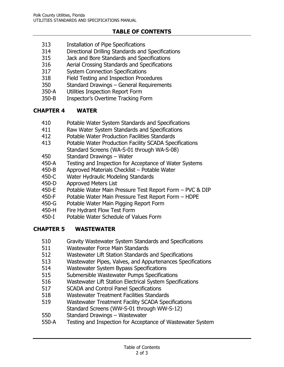# **TABLE OF CONTENTS**

- 313 Installation of Pipe Specifications
- 314 Directional Drilling Standards and Specifications
- 315 Jack and Bore Standards and Specifications
- 316 Aerial Crossing Standards and Specifications
- 317 System Connection Specifications
- 318 Field Testing and Inspection Procedures
- 350 Standard Drawings General Requirements
- 350-A Utilities Inspection Report Form
- 350-B Inspector's Overtime Tracking Form

# **CHAPTER 4 WATER**

- 410 Potable Water System Standards and Specifications
- 411 Raw Water System Standards and Specifications
- 412 Potable Water Production Facilities Standards
- 413 Potable Water Production Facility SCADA Specifications Standard Screens (WA-S-01 through WA-S-08)
- 450 Standard Drawings Water
- 450-A Testing and Inspection for Acceptance of Water Systems
- 450-B Approved Materials Checklist Potable Water
- 450-C Water Hydraulic Modeling Standards
- 450-D Approved Meters List
- 450-E Potable Water Main Pressure Test Report Form PVC & DIP
- 450-F Potable Water Main Pressure Test Report Form HDPE
- 450-G Potable Water Main Pigging Report Form
- 450-H Fire Hydrant Flow Test Form
- 450-I Potable Water Schedule of Values Form

# **CHAPTER 5 WASTEWATER**

- 510 Gravity Wastewater System Standards and Specifications
- 511 Wastewater Force Main Standards
- 512 Wastewater Lift Station Standards and Specifications
- 513 Wastewater Pipes, Valves, and Appurtenances Specifications
- 514 Wastewater System Bypass Specifications
- 515 Submersible Wastewater Pumps Specifications
- 516 Wastewater Lift Station Electrical System Specifications
- 517 SCADA and Control Panel Specifications
- 518 Wastewater Treatment Facilities Standards
- 519 Wastewater Treatment Facility SCADA Specifications Standard Screens (WW-S-01 through WW-S-12)
- 550 Standard Drawings Wastewater
- 550-A Testing and Inspection for Acceptance of Wastewater System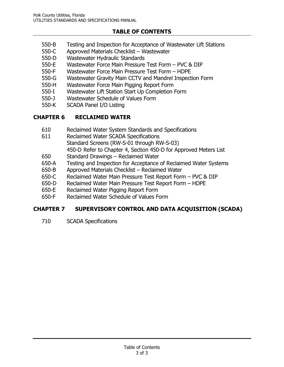# **TABLE OF CONTENTS**

- 550-B Testing and Inspection for Acceptance of Wastewater Lift Stations
- 550-C Approved Materials Checklist Wastewater
- 550-D Wastewater Hydraulic Standards
- 550-E Wastewater Force Main Pressure Test Form PVC & DIP
- 550-F Wastewater Force Main Pressure Test Form HDPE
- 550-G Wastewater Gravity Main CCTV and Mandrel Inspection Form
- 550-H Wastewater Force Main Pigging Report Form
- 550-I Wastewater Lift Station Start Up Completion Form
- 550-J Wastewater Schedule of Values Form
- 550-K SCADA Panel I/O Listing

## **CHAPTER 6 RECLAIMED WATER**

- 610 Reclaimed Water System Standards and Specifications
- 611 Reclaimed Water SCADA Specifications Standard Screens (RW-S-01 through RW-S-03) 450-D Refer to Chapter 4, Section 450-D for Approved Meters List
- 650 Standard Drawings Reclaimed Water
- 650-A Testing and Inspection for Acceptance of Reclaimed Water Systems
- 650-B Approved Materials Checklist Reclaimed Water
- 650-C Reclaimed Water Main Pressure Test Report Form PVC & DIP
- 650-D Reclaimed Water Main Pressure Test Report Form HDPE
- 650-E Reclaimed Water Pigging Report Form
- 650-F Reclaimed Water Schedule of Values Form

## **CHAPTER 7 SUPERVISORY CONTROL AND DATA ACQUISITION (SCADA)**

710 SCADA Specifications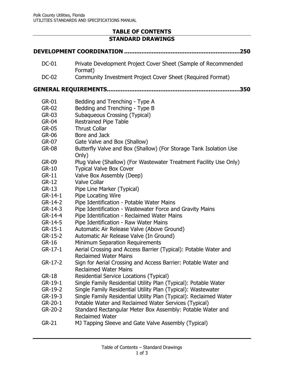## **TABLE OF CONTENTS STANDARD DRAWINGS**

|              | .250                                                                                            |
|--------------|-------------------------------------------------------------------------------------------------|
| <b>DC-01</b> | Private Development Project Cover Sheet (Sample of Recommended<br>Format)                       |
| <b>DC-02</b> | Community Investment Project Cover Sheet (Required Format)                                      |
|              | 350                                                                                             |
| <b>GR-01</b> | Bedding and Trenching - Type A                                                                  |
| GR-02        | Bedding and Trenching - Type B                                                                  |
| GR-03        | <b>Subaqueous Crossing (Typical)</b>                                                            |
| <b>GR-04</b> | <b>Restrained Pipe Table</b>                                                                    |
| GR-05        | <b>Thrust Collar</b>                                                                            |
| GR-06        | Bore and Jack                                                                                   |
| GR-07        | Gate Valve and Box (Shallow)                                                                    |
| <b>GR-08</b> | Butterfly Valve and Box (Shallow) (For Storage Tank Isolation Use<br>Only)                      |
| GR-09        | Plug Valve (Shallow) (For Wastewater Treatment Facility Use Only)                               |
| $GR-10$      | <b>Typical Valve Box Cover</b>                                                                  |
| $GR-11$      | Valve Box Assembly (Deep)                                                                       |
| $GR-12$      | <b>Valve Collar</b>                                                                             |
| $GR-13$      | Pipe Line Marker (Typical)                                                                      |
| $GR-14-1$    | Pipe Locating Wire                                                                              |
| $GR-14-2$    | Pipe Identification - Potable Water Mains                                                       |
| $GR-14-3$    | Pipe Identification - Wastewater Force and Gravity Mains                                        |
| GR-14-4      | Pipe Identification - Reclaimed Water Mains                                                     |
| GR-14-5      | Pipe Identification - Raw Water Mains                                                           |
| $GR-15-1$    | Automatic Air Release Valve (Above Ground)                                                      |
| $GR-15-2$    | Automatic Air Release Valve (In Ground)                                                         |
| <b>GR-16</b> | Minimum Separation Requirements                                                                 |
| $GR-17-1$    | Aerial Crossing and Access Barrier (Typical): Potable Water and<br><b>Reclaimed Water Mains</b> |
| $GR-17-2$    | Sign for Aerial Crossing and Access Barrier: Potable Water and<br><b>Reclaimed Water Mains</b>  |
| <b>GR-18</b> | Residential Service Locations (Typical)                                                         |
| GR-19-1      | Single Family Residential Utility Plan (Typical): Potable Water                                 |
| GR-19-2      | Single Family Residential Utility Plan (Typical): Wastewater                                    |
| GR-19-3      | Single Family Residential Utility Plan (Typical): Reclaimed Water                               |
| GR-20-1      | Potable Water and Reclaimed Water Services (Typical)                                            |
| GR-20-2      | Standard Rectangular Meter Box Assembly: Potable Water and<br><b>Reclaimed Water</b>            |
| $GR-21$      | MJ Tapping Sleeve and Gate Valve Assembly (Typical)                                             |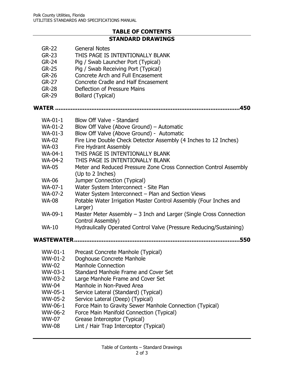## **TABLE OF CONTENTS STANDARD DRAWINGS**

- GR-22 General Notes
- GR-23 THIS PAGE IS INTENTIONALLY BLANK
- GR-24 Pig / Swab Launcher Port (Typical)
- GR-25 Pig / Swab Receiving Port (Typical)
- GR-26 Concrete Arch and Full Encasement
- GR-27 Concrete Cradle and Half Encasement
- GR-28 Deflection of Pressure Mains
- GR-29 Bollard (Typical)
- **WATER ...........................................................................................................450**
	- WA-01-1 Blow Off Valve Standard
	- WA-01-2 Blow Off Valve (Above Ground) Automatic
	- WA-01-3 Blow Off Valve (Above Ground) Automatic
	- WA-02 Fire Line Double Check Detector Assembly (4 Inches to 12 Inches)
	- WA-03 Fire Hydrant Assembly
	- WA-04-1 THIS PAGE IS INTENTIONALLY BLANK
	- WA-04-2 THIS PAGE IS INTENTIONALLY BLANK
	- WA-05 Meter and Reduced Pressure Zone Cross Connection Control Assembly (Up to 2 Inches)
	- WA-06 Jumper Connection (Typical)
	- WA-07-1 Water System Interconnect Site Plan
	- WA-07-2 Water System Interconnect Plan and Section Views
	- WA-08 Potable Water Irrigation Master Control Assembly (Four Inches and Larger)
	- WA-09-1 Master Meter Assembly 3 Inch and Larger (Single Cross Connection Control Assembly)
	- WA-10 Hydraulically Operated Control Valve (Pressure Reducing/Sustaining)

**WASTEWATER................................................................................................550**

- WW-01-1 Precast Concrete Manhole (Typical)
- WW-01-2 Doghouse Concrete Manhole
- WW-02 Manhole Connection
- WW-03-1 Standard Manhole Frame and Cover Set
- WW-03-2 Large Manhole Frame and Cover Set
- WW-04 Manhole in Non-Paved Area
- WW-05-1 Service Lateral (Standard) (Typical)
- WW-05-2 Service Lateral (Deep) (Typical)
- WW-06-1 Force Main to Gravity Sewer Manhole Connection (Typical)
- WW-06-2 Force Main Manifold Connection (Typical)
- WW-07 Grease Interceptor (Typical)
- WW-08 Lint / Hair Trap Interceptor (Typical)